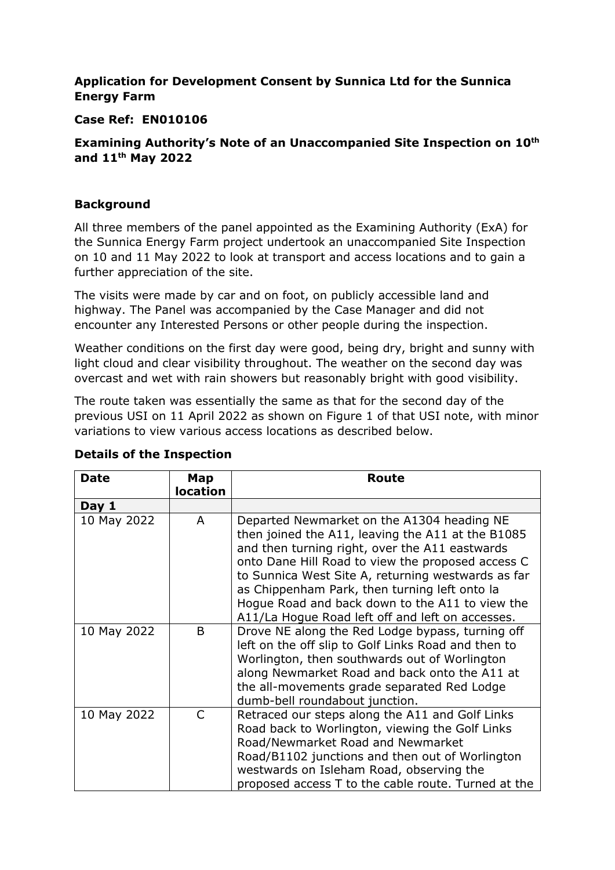# **Application for Development Consent by Sunnica Ltd for the Sunnica Energy Farm**

## **Case Ref: EN010106**

## **Examining Authority's Note of an Unaccompanied Site Inspection on 10th and 11th May 2022**

## **Background**

All three members of the panel appointed as the Examining Authority (ExA) for the Sunnica Energy Farm project undertook an unaccompanied Site Inspection on 10 and 11 May 2022 to look at transport and access locations and to gain a further appreciation of the site.

The visits were made by car and on foot, on publicly accessible land and highway. The Panel was accompanied by the Case Manager and did not encounter any Interested Persons or other people during the inspection.

Weather conditions on the first day were good, being dry, bright and sunny with light cloud and clear visibility throughout. The weather on the second day was overcast and wet with rain showers but reasonably bright with good visibility.

The route taken was essentially the same as that for the second day of the previous USI on 11 April 2022 as shown on Figure 1 of that USI note, with minor variations to view various access locations as described below.

| <b>Date</b> | Map<br><b>location</b> | <b>Route</b>                                                                                                                                                                                                                                                                                                                                                                                                         |
|-------------|------------------------|----------------------------------------------------------------------------------------------------------------------------------------------------------------------------------------------------------------------------------------------------------------------------------------------------------------------------------------------------------------------------------------------------------------------|
|             |                        |                                                                                                                                                                                                                                                                                                                                                                                                                      |
| Day 1       |                        |                                                                                                                                                                                                                                                                                                                                                                                                                      |
| 10 May 2022 | A                      | Departed Newmarket on the A1304 heading NE<br>then joined the A11, leaving the A11 at the B1085<br>and then turning right, over the A11 eastwards<br>onto Dane Hill Road to view the proposed access C<br>to Sunnica West Site A, returning westwards as far<br>as Chippenham Park, then turning left onto la<br>Hogue Road and back down to the A11 to view the<br>A11/La Hogue Road left off and left on accesses. |
| 10 May 2022 | B                      | Drove NE along the Red Lodge bypass, turning off<br>left on the off slip to Golf Links Road and then to<br>Worlington, then southwards out of Worlington<br>along Newmarket Road and back onto the A11 at<br>the all-movements grade separated Red Lodge<br>dumb-bell roundabout junction.                                                                                                                           |
| 10 May 2022 | C                      | Retraced our steps along the A11 and Golf Links<br>Road back to Worlington, viewing the Golf Links<br>Road/Newmarket Road and Newmarket<br>Road/B1102 junctions and then out of Worlington<br>westwards on Isleham Road, observing the<br>proposed access T to the cable route. Turned at the                                                                                                                        |

### **Details of the Inspection**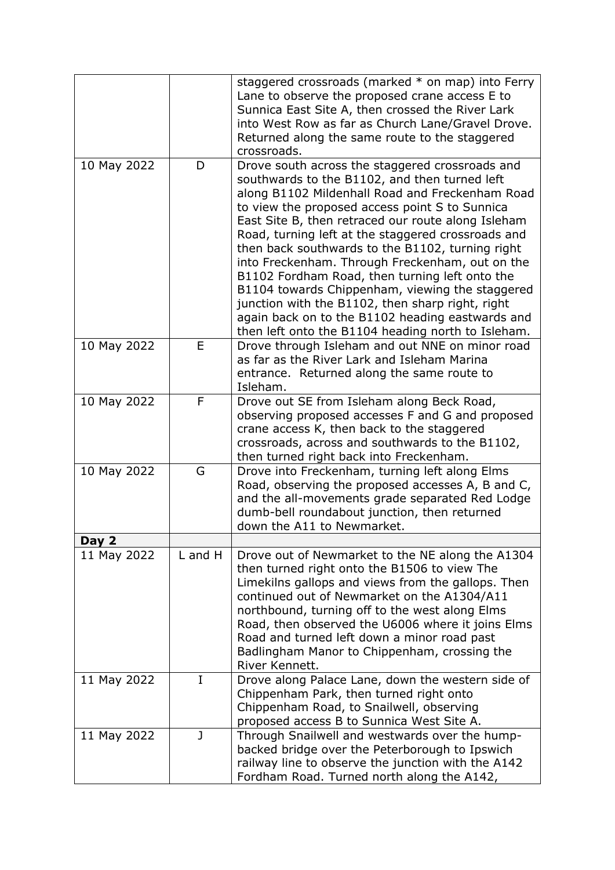|             |              | staggered crossroads (marked * on map) into Ferry<br>Lane to observe the proposed crane access E to<br>Sunnica East Site A, then crossed the River Lark<br>into West Row as far as Church Lane/Gravel Drove.<br>Returned along the same route to the staggered<br>crossroads.                                                                                                                                                                                                                                                                                                                                                                                                               |
|-------------|--------------|---------------------------------------------------------------------------------------------------------------------------------------------------------------------------------------------------------------------------------------------------------------------------------------------------------------------------------------------------------------------------------------------------------------------------------------------------------------------------------------------------------------------------------------------------------------------------------------------------------------------------------------------------------------------------------------------|
| 10 May 2022 | D            | Drove south across the staggered crossroads and<br>southwards to the B1102, and then turned left<br>along B1102 Mildenhall Road and Freckenham Road<br>to view the proposed access point S to Sunnica<br>East Site B, then retraced our route along Isleham<br>Road, turning left at the staggered crossroads and<br>then back southwards to the B1102, turning right<br>into Freckenham. Through Freckenham, out on the<br>B1102 Fordham Road, then turning left onto the<br>B1104 towards Chippenham, viewing the staggered<br>junction with the B1102, then sharp right, right<br>again back on to the B1102 heading eastwards and<br>then left onto the B1104 heading north to Isleham. |
| 10 May 2022 | E            | Drove through Isleham and out NNE on minor road<br>as far as the River Lark and Isleham Marina<br>entrance. Returned along the same route to<br>Isleham.                                                                                                                                                                                                                                                                                                                                                                                                                                                                                                                                    |
| 10 May 2022 | F            | Drove out SE from Isleham along Beck Road,<br>observing proposed accesses F and G and proposed<br>crane access K, then back to the staggered<br>crossroads, across and southwards to the B1102,<br>then turned right back into Freckenham.                                                                                                                                                                                                                                                                                                                                                                                                                                                  |
| 10 May 2022 | G            | Drove into Freckenham, turning left along Elms<br>Road, observing the proposed accesses A, B and C,<br>and the all-movements grade separated Red Lodge<br>dumb-bell roundabout junction, then returned<br>down the A11 to Newmarket.                                                                                                                                                                                                                                                                                                                                                                                                                                                        |
| Day 2       | L and H      |                                                                                                                                                                                                                                                                                                                                                                                                                                                                                                                                                                                                                                                                                             |
| 11 May 2022 |              | Drove out of Newmarket to the NE along the A1304<br>then turned right onto the B1506 to view The<br>Limekilns gallops and views from the gallops. Then<br>continued out of Newmarket on the A1304/A11<br>northbound, turning off to the west along Elms<br>Road, then observed the U6006 where it joins Elms<br>Road and turned left down a minor road past<br>Badlingham Manor to Chippenham, crossing the<br>River Kennett.                                                                                                                                                                                                                                                               |
| 11 May 2022 | I            | Drove along Palace Lane, down the western side of<br>Chippenham Park, then turned right onto<br>Chippenham Road, to Snailwell, observing<br>proposed access B to Sunnica West Site A.                                                                                                                                                                                                                                                                                                                                                                                                                                                                                                       |
| 11 May 2022 | $\mathbf{J}$ | Through Snailwell and westwards over the hump-<br>backed bridge over the Peterborough to Ipswich<br>railway line to observe the junction with the A142<br>Fordham Road. Turned north along the A142,                                                                                                                                                                                                                                                                                                                                                                                                                                                                                        |